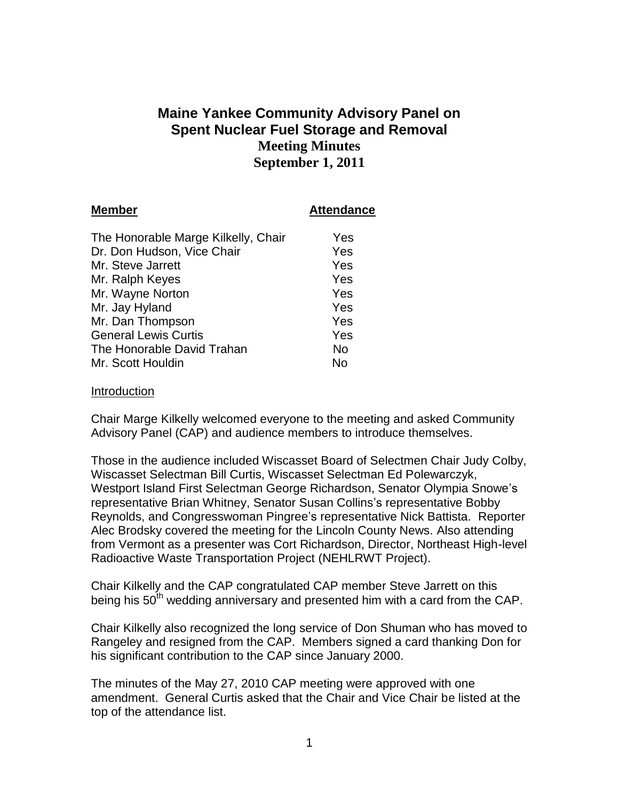# **Maine Yankee Community Advisory Panel on Spent Nuclear Fuel Storage and Removal Meeting Minutes September 1, 2011**

| <b>Member</b>                       | <b>Attendance</b> |
|-------------------------------------|-------------------|
| The Honorable Marge Kilkelly, Chair | Yes               |
| Dr. Don Hudson, Vice Chair          | Yes               |
| Mr. Steve Jarrett                   | Yes               |
| Mr. Ralph Keyes                     | Yes               |
| Mr. Wayne Norton                    | Yes               |
| Mr. Jay Hyland                      | Yes               |
| Mr. Dan Thompson                    | Yes               |
| <b>General Lewis Curtis</b>         | Yes               |
| The Honorable David Trahan          | No                |
| Mr. Scott Houldin                   | No                |

#### Introduction

Chair Marge Kilkelly welcomed everyone to the meeting and asked Community Advisory Panel (CAP) and audience members to introduce themselves.

Those in the audience included Wiscasset Board of Selectmen Chair Judy Colby, Wiscasset Selectman Bill Curtis, Wiscasset Selectman Ed Polewarczyk, Westport Island First Selectman George Richardson, Senator Olympia Snowe's representative Brian Whitney, Senator Susan Collins's representative Bobby Reynolds, and Congresswoman Pingree's representative Nick Battista. Reporter Alec Brodsky covered the meeting for the Lincoln County News. Also attending from Vermont as a presenter was Cort Richardson, Director, Northeast High-level Radioactive Waste Transportation Project (NEHLRWT Project).

Chair Kilkelly and the CAP congratulated CAP member Steve Jarrett on this being his  $50<sup>th</sup>$  wedding anniversary and presented him with a card from the CAP.

Chair Kilkelly also recognized the long service of Don Shuman who has moved to Rangeley and resigned from the CAP. Members signed a card thanking Don for his significant contribution to the CAP since January 2000.

The minutes of the May 27, 2010 CAP meeting were approved with one amendment. General Curtis asked that the Chair and Vice Chair be listed at the top of the attendance list.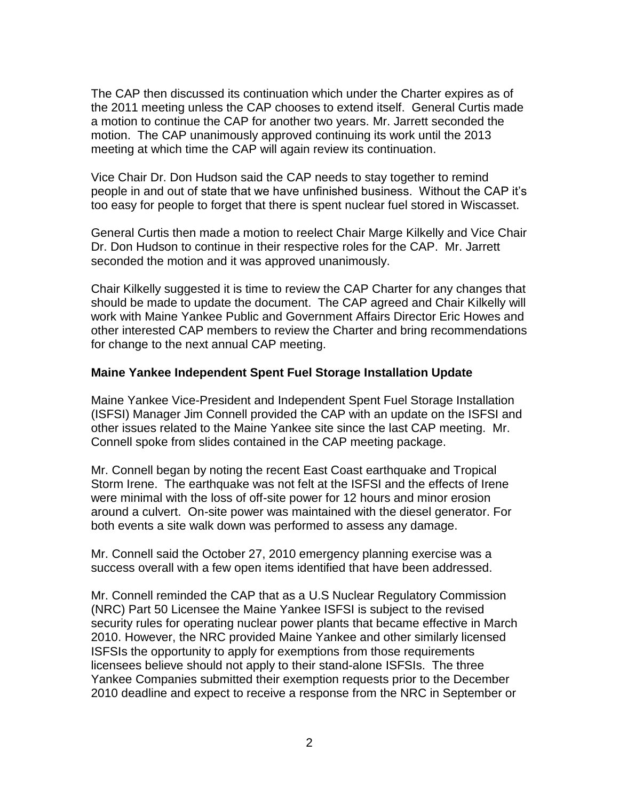The CAP then discussed its continuation which under the Charter expires as of the 2011 meeting unless the CAP chooses to extend itself. General Curtis made a motion to continue the CAP for another two years. Mr. Jarrett seconded the motion. The CAP unanimously approved continuing its work until the 2013 meeting at which time the CAP will again review its continuation.

Vice Chair Dr. Don Hudson said the CAP needs to stay together to remind people in and out of state that we have unfinished business. Without the CAP it's too easy for people to forget that there is spent nuclear fuel stored in Wiscasset.

General Curtis then made a motion to reelect Chair Marge Kilkelly and Vice Chair Dr. Don Hudson to continue in their respective roles for the CAP. Mr. Jarrett seconded the motion and it was approved unanimously.

Chair Kilkelly suggested it is time to review the CAP Charter for any changes that should be made to update the document. The CAP agreed and Chair Kilkelly will work with Maine Yankee Public and Government Affairs Director Eric Howes and other interested CAP members to review the Charter and bring recommendations for change to the next annual CAP meeting.

#### **Maine Yankee Independent Spent Fuel Storage Installation Update**

Maine Yankee Vice-President and Independent Spent Fuel Storage Installation (ISFSI) Manager Jim Connell provided the CAP with an update on the ISFSI and other issues related to the Maine Yankee site since the last CAP meeting. Mr. Connell spoke from slides contained in the CAP meeting package.

Mr. Connell began by noting the recent East Coast earthquake and Tropical Storm Irene. The earthquake was not felt at the ISFSI and the effects of Irene were minimal with the loss of off-site power for 12 hours and minor erosion around a culvert. On-site power was maintained with the diesel generator. For both events a site walk down was performed to assess any damage.

Mr. Connell said the October 27, 2010 emergency planning exercise was a success overall with a few open items identified that have been addressed.

Mr. Connell reminded the CAP that as a U.S Nuclear Regulatory Commission (NRC) Part 50 Licensee the Maine Yankee ISFSI is subject to the revised security rules for operating nuclear power plants that became effective in March 2010. However, the NRC provided Maine Yankee and other similarly licensed ISFSIs the opportunity to apply for exemptions from those requirements licensees believe should not apply to their stand-alone ISFSIs. The three Yankee Companies submitted their exemption requests prior to the December 2010 deadline and expect to receive a response from the NRC in September or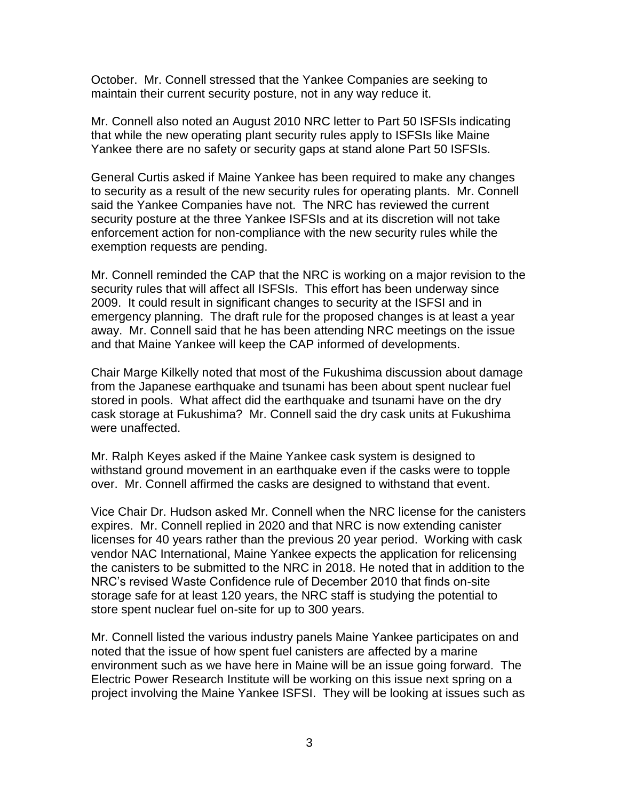October. Mr. Connell stressed that the Yankee Companies are seeking to maintain their current security posture, not in any way reduce it.

Mr. Connell also noted an August 2010 NRC letter to Part 50 ISFSIs indicating that while the new operating plant security rules apply to ISFSIs like Maine Yankee there are no safety or security gaps at stand alone Part 50 ISFSIs.

General Curtis asked if Maine Yankee has been required to make any changes to security as a result of the new security rules for operating plants. Mr. Connell said the Yankee Companies have not. The NRC has reviewed the current security posture at the three Yankee ISFSIs and at its discretion will not take enforcement action for non-compliance with the new security rules while the exemption requests are pending.

Mr. Connell reminded the CAP that the NRC is working on a major revision to the security rules that will affect all ISFSIs. This effort has been underway since 2009. It could result in significant changes to security at the ISFSI and in emergency planning. The draft rule for the proposed changes is at least a year away. Mr. Connell said that he has been attending NRC meetings on the issue and that Maine Yankee will keep the CAP informed of developments.

Chair Marge Kilkelly noted that most of the Fukushima discussion about damage from the Japanese earthquake and tsunami has been about spent nuclear fuel stored in pools. What affect did the earthquake and tsunami have on the dry cask storage at Fukushima? Mr. Connell said the dry cask units at Fukushima were unaffected.

Mr. Ralph Keyes asked if the Maine Yankee cask system is designed to withstand ground movement in an earthquake even if the casks were to topple over. Mr. Connell affirmed the casks are designed to withstand that event.

Vice Chair Dr. Hudson asked Mr. Connell when the NRC license for the canisters expires. Mr. Connell replied in 2020 and that NRC is now extending canister licenses for 40 years rather than the previous 20 year period. Working with cask vendor NAC International, Maine Yankee expects the application for relicensing the canisters to be submitted to the NRC in 2018. He noted that in addition to the NRC's revised Waste Confidence rule of December 2010 that finds on-site storage safe for at least 120 years, the NRC staff is studying the potential to store spent nuclear fuel on-site for up to 300 years.

Mr. Connell listed the various industry panels Maine Yankee participates on and noted that the issue of how spent fuel canisters are affected by a marine environment such as we have here in Maine will be an issue going forward. The Electric Power Research Institute will be working on this issue next spring on a project involving the Maine Yankee ISFSI. They will be looking at issues such as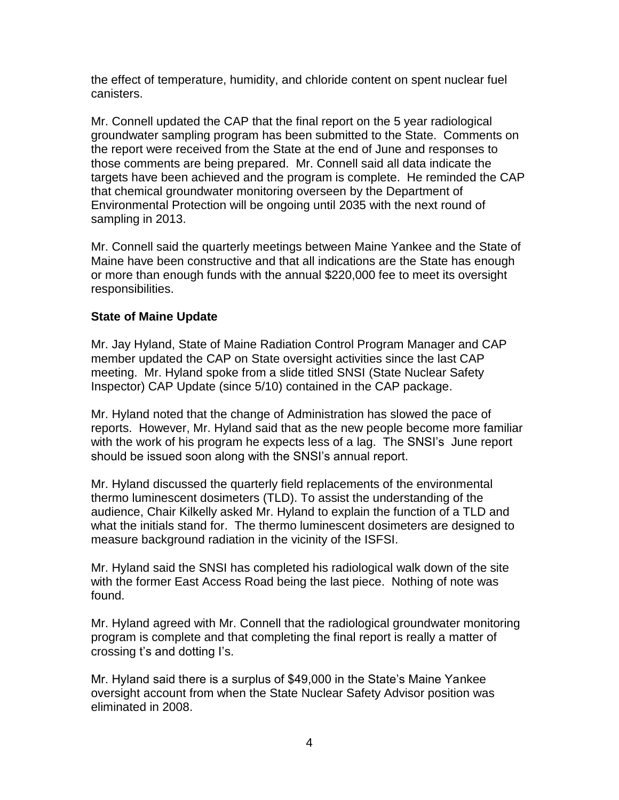the effect of temperature, humidity, and chloride content on spent nuclear fuel canisters.

Mr. Connell updated the CAP that the final report on the 5 year radiological groundwater sampling program has been submitted to the State. Comments on the report were received from the State at the end of June and responses to those comments are being prepared. Mr. Connell said all data indicate the targets have been achieved and the program is complete. He reminded the CAP that chemical groundwater monitoring overseen by the Department of Environmental Protection will be ongoing until 2035 with the next round of sampling in 2013.

Mr. Connell said the quarterly meetings between Maine Yankee and the State of Maine have been constructive and that all indications are the State has enough or more than enough funds with the annual \$220,000 fee to meet its oversight responsibilities.

### **State of Maine Update**

Mr. Jay Hyland, State of Maine Radiation Control Program Manager and CAP member updated the CAP on State oversight activities since the last CAP meeting. Mr. Hyland spoke from a slide titled SNSI (State Nuclear Safety Inspector) CAP Update (since 5/10) contained in the CAP package.

Mr. Hyland noted that the change of Administration has slowed the pace of reports. However, Mr. Hyland said that as the new people become more familiar with the work of his program he expects less of a lag. The SNSI's June report should be issued soon along with the SNSI's annual report.

Mr. Hyland discussed the quarterly field replacements of the environmental thermo luminescent dosimeters (TLD). To assist the understanding of the audience, Chair Kilkelly asked Mr. Hyland to explain the function of a TLD and what the initials stand for. The thermo luminescent dosimeters are designed to measure background radiation in the vicinity of the ISFSI.

Mr. Hyland said the SNSI has completed his radiological walk down of the site with the former East Access Road being the last piece. Nothing of note was found.

Mr. Hyland agreed with Mr. Connell that the radiological groundwater monitoring program is complete and that completing the final report is really a matter of crossing t's and dotting I's.

Mr. Hyland said there is a surplus of \$49,000 in the State's Maine Yankee oversight account from when the State Nuclear Safety Advisor position was eliminated in 2008.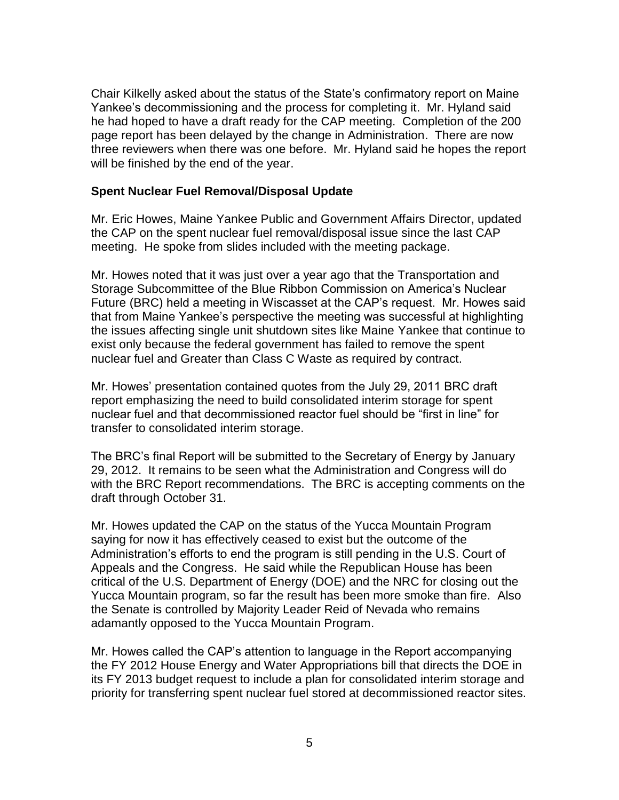Chair Kilkelly asked about the status of the State's confirmatory report on Maine Yankee's decommissioning and the process for completing it. Mr. Hyland said he had hoped to have a draft ready for the CAP meeting. Completion of the 200 page report has been delayed by the change in Administration. There are now three reviewers when there was one before. Mr. Hyland said he hopes the report will be finished by the end of the year.

#### **Spent Nuclear Fuel Removal/Disposal Update**

Mr. Eric Howes, Maine Yankee Public and Government Affairs Director, updated the CAP on the spent nuclear fuel removal/disposal issue since the last CAP meeting. He spoke from slides included with the meeting package.

Mr. Howes noted that it was just over a year ago that the Transportation and Storage Subcommittee of the Blue Ribbon Commission on America's Nuclear Future (BRC) held a meeting in Wiscasset at the CAP's request. Mr. Howes said that from Maine Yankee's perspective the meeting was successful at highlighting the issues affecting single unit shutdown sites like Maine Yankee that continue to exist only because the federal government has failed to remove the spent nuclear fuel and Greater than Class C Waste as required by contract.

Mr. Howes' presentation contained quotes from the July 29, 2011 BRC draft report emphasizing the need to build consolidated interim storage for spent nuclear fuel and that decommissioned reactor fuel should be "first in line" for transfer to consolidated interim storage.

The BRC's final Report will be submitted to the Secretary of Energy by January 29, 2012. It remains to be seen what the Administration and Congress will do with the BRC Report recommendations. The BRC is accepting comments on the draft through October 31.

Mr. Howes updated the CAP on the status of the Yucca Mountain Program saying for now it has effectively ceased to exist but the outcome of the Administration's efforts to end the program is still pending in the U.S. Court of Appeals and the Congress. He said while the Republican House has been critical of the U.S. Department of Energy (DOE) and the NRC for closing out the Yucca Mountain program, so far the result has been more smoke than fire. Also the Senate is controlled by Majority Leader Reid of Nevada who remains adamantly opposed to the Yucca Mountain Program.

Mr. Howes called the CAP's attention to language in the Report accompanying the FY 2012 House Energy and Water Appropriations bill that directs the DOE in its FY 2013 budget request to include a plan for consolidated interim storage and priority for transferring spent nuclear fuel stored at decommissioned reactor sites.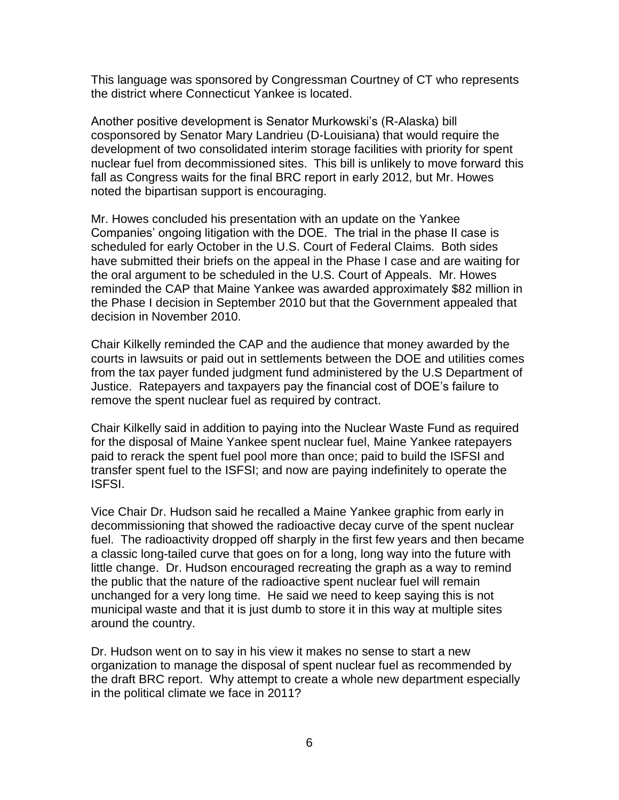This language was sponsored by Congressman Courtney of CT who represents the district where Connecticut Yankee is located.

Another positive development is Senator Murkowski's (R-Alaska) bill cosponsored by Senator Mary Landrieu (D-Louisiana) that would require the development of two consolidated interim storage facilities with priority for spent nuclear fuel from decommissioned sites. This bill is unlikely to move forward this fall as Congress waits for the final BRC report in early 2012, but Mr. Howes noted the bipartisan support is encouraging.

Mr. Howes concluded his presentation with an update on the Yankee Companies' ongoing litigation with the DOE. The trial in the phase II case is scheduled for early October in the U.S. Court of Federal Claims. Both sides have submitted their briefs on the appeal in the Phase I case and are waiting for the oral argument to be scheduled in the U.S. Court of Appeals. Mr. Howes reminded the CAP that Maine Yankee was awarded approximately \$82 million in the Phase I decision in September 2010 but that the Government appealed that decision in November 2010.

Chair Kilkelly reminded the CAP and the audience that money awarded by the courts in lawsuits or paid out in settlements between the DOE and utilities comes from the tax payer funded judgment fund administered by the U.S Department of Justice. Ratepayers and taxpayers pay the financial cost of DOE's failure to remove the spent nuclear fuel as required by contract.

Chair Kilkelly said in addition to paying into the Nuclear Waste Fund as required for the disposal of Maine Yankee spent nuclear fuel, Maine Yankee ratepayers paid to rerack the spent fuel pool more than once; paid to build the ISFSI and transfer spent fuel to the ISFSI; and now are paying indefinitely to operate the ISFSI.

Vice Chair Dr. Hudson said he recalled a Maine Yankee graphic from early in decommissioning that showed the radioactive decay curve of the spent nuclear fuel. The radioactivity dropped off sharply in the first few years and then became a classic long-tailed curve that goes on for a long, long way into the future with little change. Dr. Hudson encouraged recreating the graph as a way to remind the public that the nature of the radioactive spent nuclear fuel will remain unchanged for a very long time. He said we need to keep saying this is not municipal waste and that it is just dumb to store it in this way at multiple sites around the country.

Dr. Hudson went on to say in his view it makes no sense to start a new organization to manage the disposal of spent nuclear fuel as recommended by the draft BRC report. Why attempt to create a whole new department especially in the political climate we face in 2011?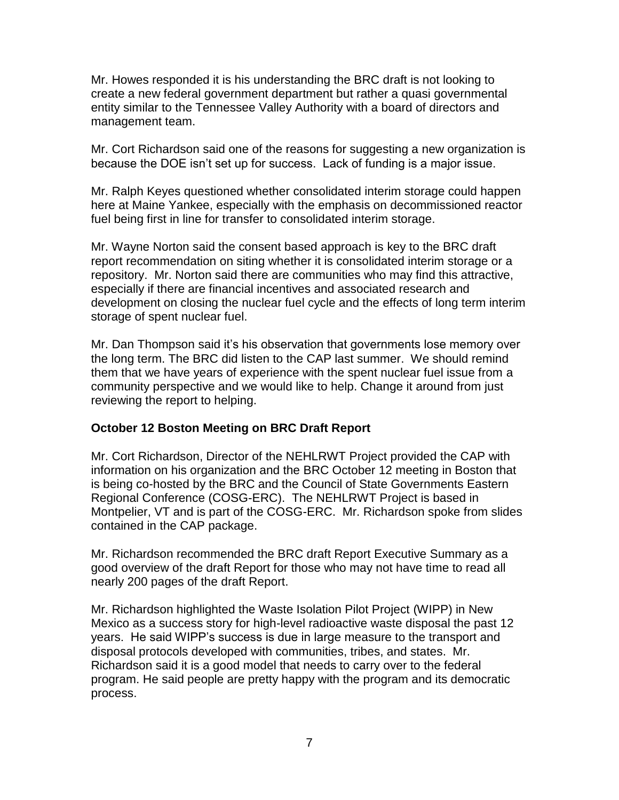Mr. Howes responded it is his understanding the BRC draft is not looking to create a new federal government department but rather a quasi governmental entity similar to the Tennessee Valley Authority with a board of directors and management team.

Mr. Cort Richardson said one of the reasons for suggesting a new organization is because the DOE isn't set up for success. Lack of funding is a major issue.

Mr. Ralph Keyes questioned whether consolidated interim storage could happen here at Maine Yankee, especially with the emphasis on decommissioned reactor fuel being first in line for transfer to consolidated interim storage.

Mr. Wayne Norton said the consent based approach is key to the BRC draft report recommendation on siting whether it is consolidated interim storage or a repository. Mr. Norton said there are communities who may find this attractive, especially if there are financial incentives and associated research and development on closing the nuclear fuel cycle and the effects of long term interim storage of spent nuclear fuel.

Mr. Dan Thompson said it's his observation that governments lose memory over the long term. The BRC did listen to the CAP last summer. We should remind them that we have years of experience with the spent nuclear fuel issue from a community perspective and we would like to help. Change it around from just reviewing the report to helping.

### **October 12 Boston Meeting on BRC Draft Report**

Mr. Cort Richardson, Director of the NEHLRWT Project provided the CAP with information on his organization and the BRC October 12 meeting in Boston that is being co-hosted by the BRC and the Council of State Governments Eastern Regional Conference (COSG-ERC). The NEHLRWT Project is based in Montpelier, VT and is part of the COSG-ERC. Mr. Richardson spoke from slides contained in the CAP package.

Mr. Richardson recommended the BRC draft Report Executive Summary as a good overview of the draft Report for those who may not have time to read all nearly 200 pages of the draft Report.

Mr. Richardson highlighted the Waste Isolation Pilot Project (WIPP) in New Mexico as a success story for high-level radioactive waste disposal the past 12 years. He said WIPP's success is due in large measure to the transport and disposal protocols developed with communities, tribes, and states. Mr. Richardson said it is a good model that needs to carry over to the federal program. He said people are pretty happy with the program and its democratic process.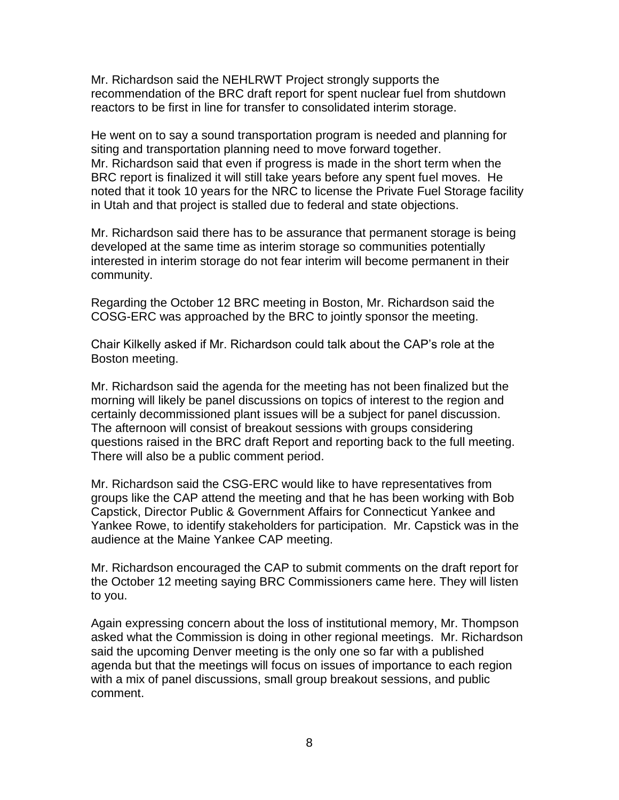Mr. Richardson said the NEHLRWT Project strongly supports the recommendation of the BRC draft report for spent nuclear fuel from shutdown reactors to be first in line for transfer to consolidated interim storage.

He went on to say a sound transportation program is needed and planning for siting and transportation planning need to move forward together. Mr. Richardson said that even if progress is made in the short term when the BRC report is finalized it will still take years before any spent fuel moves. He noted that it took 10 years for the NRC to license the Private Fuel Storage facility in Utah and that project is stalled due to federal and state objections.

Mr. Richardson said there has to be assurance that permanent storage is being developed at the same time as interim storage so communities potentially interested in interim storage do not fear interim will become permanent in their community.

Regarding the October 12 BRC meeting in Boston, Mr. Richardson said the COSG-ERC was approached by the BRC to jointly sponsor the meeting.

Chair Kilkelly asked if Mr. Richardson could talk about the CAP's role at the Boston meeting.

Mr. Richardson said the agenda for the meeting has not been finalized but the morning will likely be panel discussions on topics of interest to the region and certainly decommissioned plant issues will be a subject for panel discussion. The afternoon will consist of breakout sessions with groups considering questions raised in the BRC draft Report and reporting back to the full meeting. There will also be a public comment period.

Mr. Richardson said the CSG-ERC would like to have representatives from groups like the CAP attend the meeting and that he has been working with Bob Capstick, Director Public & Government Affairs for Connecticut Yankee and Yankee Rowe, to identify stakeholders for participation. Mr. Capstick was in the audience at the Maine Yankee CAP meeting.

Mr. Richardson encouraged the CAP to submit comments on the draft report for the October 12 meeting saying BRC Commissioners came here. They will listen to you.

Again expressing concern about the loss of institutional memory, Mr. Thompson asked what the Commission is doing in other regional meetings. Mr. Richardson said the upcoming Denver meeting is the only one so far with a published agenda but that the meetings will focus on issues of importance to each region with a mix of panel discussions, small group breakout sessions, and public comment.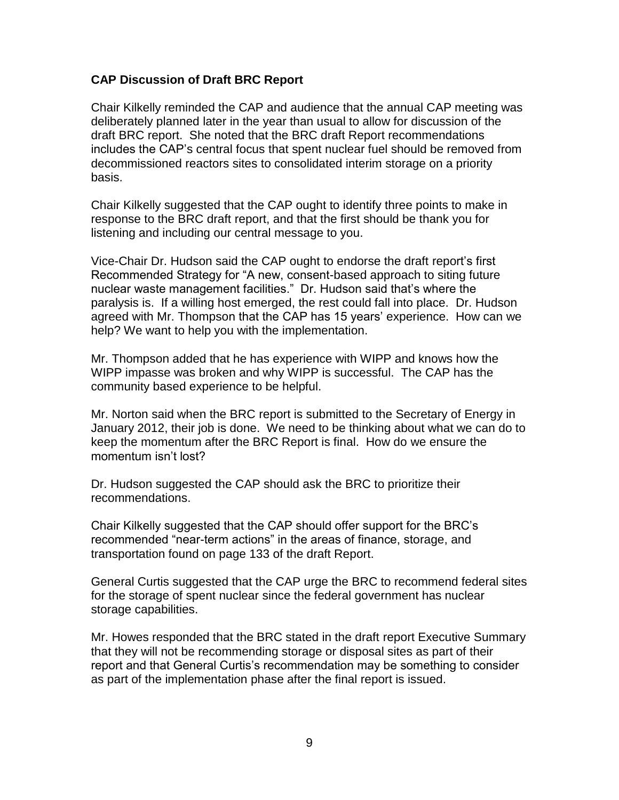### **CAP Discussion of Draft BRC Report**

Chair Kilkelly reminded the CAP and audience that the annual CAP meeting was deliberately planned later in the year than usual to allow for discussion of the draft BRC report. She noted that the BRC draft Report recommendations includes the CAP's central focus that spent nuclear fuel should be removed from decommissioned reactors sites to consolidated interim storage on a priority basis.

Chair Kilkelly suggested that the CAP ought to identify three points to make in response to the BRC draft report, and that the first should be thank you for listening and including our central message to you.

Vice-Chair Dr. Hudson said the CAP ought to endorse the draft report's first Recommended Strategy for "A new, consent-based approach to siting future nuclear waste management facilities." Dr. Hudson said that's where the paralysis is. If a willing host emerged, the rest could fall into place. Dr. Hudson agreed with Mr. Thompson that the CAP has 15 years' experience. How can we help? We want to help you with the implementation.

Mr. Thompson added that he has experience with WIPP and knows how the WIPP impasse was broken and why WIPP is successful. The CAP has the community based experience to be helpful.

Mr. Norton said when the BRC report is submitted to the Secretary of Energy in January 2012, their job is done. We need to be thinking about what we can do to keep the momentum after the BRC Report is final. How do we ensure the momentum isn't lost?

Dr. Hudson suggested the CAP should ask the BRC to prioritize their recommendations.

Chair Kilkelly suggested that the CAP should offer support for the BRC's recommended "near-term actions" in the areas of finance, storage, and transportation found on page 133 of the draft Report.

General Curtis suggested that the CAP urge the BRC to recommend federal sites for the storage of spent nuclear since the federal government has nuclear storage capabilities.

Mr. Howes responded that the BRC stated in the draft report Executive Summary that they will not be recommending storage or disposal sites as part of their report and that General Curtis's recommendation may be something to consider as part of the implementation phase after the final report is issued.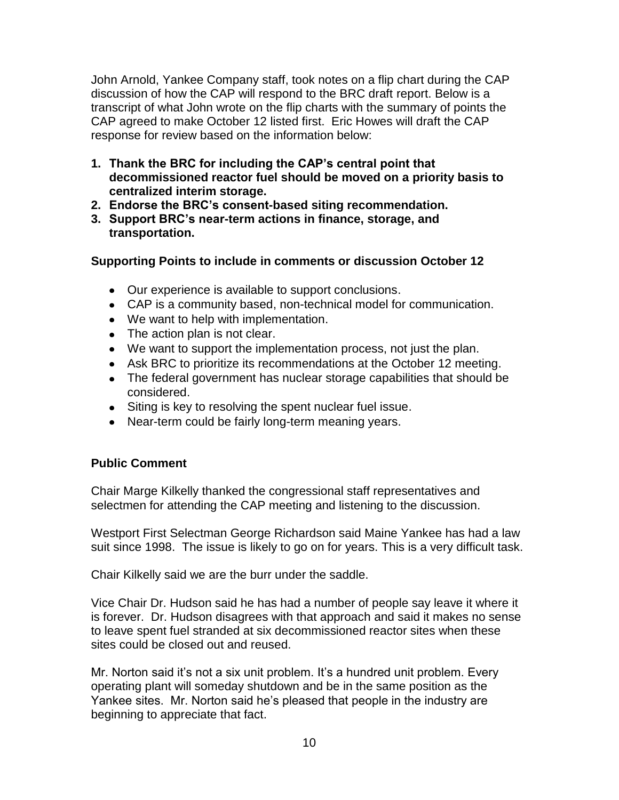John Arnold, Yankee Company staff, took notes on a flip chart during the CAP discussion of how the CAP will respond to the BRC draft report. Below is a transcript of what John wrote on the flip charts with the summary of points the CAP agreed to make October 12 listed first. Eric Howes will draft the CAP response for review based on the information below:

- **1. Thank the BRC for including the CAP's central point that decommissioned reactor fuel should be moved on a priority basis to centralized interim storage.**
- **2. Endorse the BRC's consent-based siting recommendation.**
- **3. Support BRC's near-term actions in finance, storage, and transportation.**

## **Supporting Points to include in comments or discussion October 12**

- Our experience is available to support conclusions.
- CAP is a community based, non-technical model for communication.
- We want to help with implementation.
- The action plan is not clear.
- We want to support the implementation process, not just the plan.
- Ask BRC to prioritize its recommendations at the October 12 meeting.
- The federal government has nuclear storage capabilities that should be considered.
- Siting is key to resolving the spent nuclear fuel issue.
- Near-term could be fairly long-term meaning years.

### **Public Comment**

Chair Marge Kilkelly thanked the congressional staff representatives and selectmen for attending the CAP meeting and listening to the discussion.

Westport First Selectman George Richardson said Maine Yankee has had a law suit since 1998. The issue is likely to go on for years. This is a very difficult task.

Chair Kilkelly said we are the burr under the saddle.

Vice Chair Dr. Hudson said he has had a number of people say leave it where it is forever. Dr. Hudson disagrees with that approach and said it makes no sense to leave spent fuel stranded at six decommissioned reactor sites when these sites could be closed out and reused.

Mr. Norton said it's not a six unit problem. It's a hundred unit problem. Every operating plant will someday shutdown and be in the same position as the Yankee sites. Mr. Norton said he's pleased that people in the industry are beginning to appreciate that fact.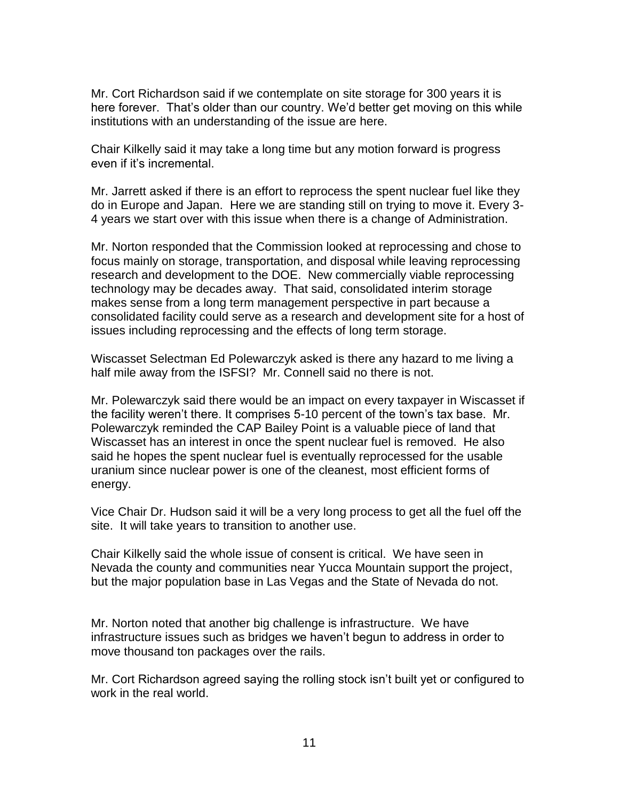Mr. Cort Richardson said if we contemplate on site storage for 300 years it is here forever. That's older than our country. We'd better get moving on this while institutions with an understanding of the issue are here.

Chair Kilkelly said it may take a long time but any motion forward is progress even if it's incremental.

Mr. Jarrett asked if there is an effort to reprocess the spent nuclear fuel like they do in Europe and Japan. Here we are standing still on trying to move it. Every 3- 4 years we start over with this issue when there is a change of Administration.

Mr. Norton responded that the Commission looked at reprocessing and chose to focus mainly on storage, transportation, and disposal while leaving reprocessing research and development to the DOE. New commercially viable reprocessing technology may be decades away. That said, consolidated interim storage makes sense from a long term management perspective in part because a consolidated facility could serve as a research and development site for a host of issues including reprocessing and the effects of long term storage.

Wiscasset Selectman Ed Polewarczyk asked is there any hazard to me living a half mile away from the ISFSI? Mr. Connell said no there is not.

Mr. Polewarczyk said there would be an impact on every taxpayer in Wiscasset if the facility weren't there. It comprises 5-10 percent of the town's tax base. Mr. Polewarczyk reminded the CAP Bailey Point is a valuable piece of land that Wiscasset has an interest in once the spent nuclear fuel is removed. He also said he hopes the spent nuclear fuel is eventually reprocessed for the usable uranium since nuclear power is one of the cleanest, most efficient forms of energy.

Vice Chair Dr. Hudson said it will be a very long process to get all the fuel off the site. It will take years to transition to another use.

Chair Kilkelly said the whole issue of consent is critical. We have seen in Nevada the county and communities near Yucca Mountain support the project, but the major population base in Las Vegas and the State of Nevada do not.

Mr. Norton noted that another big challenge is infrastructure. We have infrastructure issues such as bridges we haven't begun to address in order to move thousand ton packages over the rails.

Mr. Cort Richardson agreed saying the rolling stock isn't built yet or configured to work in the real world.